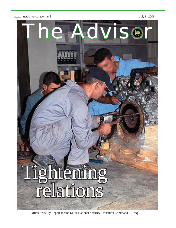

Official Weekly Report for the Multi-National Security Transition Command — Iraq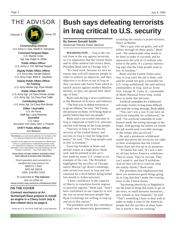THE ADVISOR





**Commanding General** U.S. Army Lt. Gen. Martin E. Dempsey

> **Command Sergeant Major** U.S. Marine Corps Sgt. Maj. Ralph G. White

**Public Affairs Officer** U.S. Army Lt. Col. Michael Negard

**Deputy Public Affairs Officer** U.S. Army Maj. Gerald Ostlund U.S. Army Capt. Mark E. Jacobsen

**Deputy Public Affairs Officer for Training** U.S. Army Master Sgt. Ryan Mosier

**Public Affairs NCOIC** U.S. Army Sgt. 1st Class Ronda Jordan U.S. Army Sgt. 1st Class Paul Tuttle

**Contributing Editor** U.S. Army Sgt. 1st Class Rick Brown

> **Editor / Journalist** U.S. Air Force Staff Sgt. Lucia Newman **Journalist** U.S. Navy

Journalist 2nd Class John J. Pistone

**CPATT Public Affairs Offi cer** Ann Bertucci

**The Advisor** is an authorized publication for members of the U.S. Defense Department and multinational partners.

*Contents of this paper are not necessarily the official views of the U.S. government or multinational partners of the U.S. Department of Defense. The editorial content of this publication is the responsibility of the Multi-National Security Transition Command — Iraq Public Affairs Office.* 

**Some faces of Iraqi soldiers and police have been altered to protect their identities.**

Direct questions and comments to: pao@mnstci.iraq.centcom.mil MNSTC-I PAO APO AE 09316 DSN: 318-852-1334

To subscribe to **The Advisor**, visit us online at: www.mnstci.iraq.centcom.mil/advisor.html

**ON THE COVER**

**Contract mechanics at An Numaniyah Base prepare to install an engine in a Chevy truck July 6. See related story on page 6.**

# **Bush says defeating terrorists in Iraq critical to U.S. security**

**By Steven Donald Smith** American Forces Press Service

**WASHINGTON** — Iraq is the central front in the war against terrorism, so it is imperative that the United States and its allies achieve full victory there, President Bush said in Chicago July 7.

"It's hard work, because we face an enemy that will kill innocent people in order to achieve an objective, and their objective is to drive us out of Iraq so they can have safe haven from which to launch attacks against modern Muslim nations, so they can spread their ideology of hate,"

Bush said during a news conference at the Museum of Science and Industry.

"The best way to defeat terrorism is to go on offense," he said. "We'll keep the pressure on them; we'll bring them to justice before they hurt our people."

Bush said a successful outcome in Iraq is important to both U.S. interests and the well-being of the Iraqi people.

"Success in Iraq is vital for the security of the United States, and success in Iraq is vital for long-term peace," he said. "The Iraqi people want to live in freedom."

Ensuring freedom at home and abroad comes at a high price, Bush said, and he pointed to the sacrifice made by many U.S. troops as an example of the cost. The President highlighted the sacrifice of Chicago native Marine Cpl. Ryan Cummings, who served two tours in Iraq and volunteered for a third before being killed last month in Anbar province.

"I have confidence in the capacity of liberty to transform hostile regions to peaceful regions," Bush said. "And I have confidence in our capacity to win the war on terror because people like Ryan Cummings are willing to step up and serve this nation."

The president said he has confidence Photo by U.S. Air Force Staff Sgt. Lucia Newman | in Iraq's new democratic government, lies is worth it. We are winning."

including the country's prime minister, Nouri al-Maliki.

"He's a guy who set goals, and will follow through on those goals," Bush said. "He understands what needs to be done in order to succeed, and he represents the will of 12 million who went to the polls. It's a pretty interesting sign that the Iraqi people want to live in freedom."

Bush said the United States must stay in Iraq until the job is done, and said he would not give a timetable for U.S. troop withdrawal. He said military commanders in Iraq, such as Army Gen. George W. Casey Jr., commander of Multi-National Force-Iraq, would have to make that decision.

Artificial timetables for withdrawal will make victory in Iraq more difficult and send the wrong message, Bush added.

"You can't win a war if you have an artificial timetable for withdrawal," he said. "An artificial timetable of withdrawal sends the wrong message to the Iraqis. And getting out before we finish the job would send a terrible message to the troops who sacrificed."

He said a premature withdrawal would also prove the terrorists are right in their assumption that the United States does not live up to its promises.

"Al Qaida has said, 'It's just a matter of time before America withdraws. They're weak. They're corrupt. They can't stand it, and they'll withdraw.' And all that will do is confirm what the enemy thinks," Bush said.

The president also emphasized that there are numerous good things going on in Iraq that don't make the evening news in the United States.

"Increasing electricity in Baghdad is not the kind of thing that tends to get on the news, or small business formation,... new schools or new hospitals," he said. "That's something I have to deal with in order to make it clear to the American people that the sacrifice of those fami-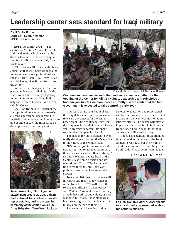## **Leadership center sets standard for Iraqi military**

**By U.S. Air Force Staff Sgt. Lucia Newman** MNSTC-I Public Affairs

#### **RUSTAMIYAH, Iraq** — The Center for Military Values, Principles and Leadership, which is said to be the key to a more cohesive and qualified Iraqi military, opened July 3 in Rustamiyah.

"This center will have standards and education that will make Iraqi ground forces an even more professional and capable force," said U.S. Army Lt. Col. Ken McCreary, Coalition director for the center.

For more than two years, Coalition personnel have worked alongside the Iraqis to develop a stronger fighting force. "This center has been built to help those forces become even better," said McCreary.

Coalition trainers will instruct 46 Iraqi professionals – those possessing a strong educational background in English, computers and technology – to go out and educate the Iraqi force on the importance of military ethics.



**Italian Army Brig. Gen. Agostino Mazzei (left) greets Lt. Gen. Daham Radhi al-Asal, Iraqi defense minister representative, during the opening ceremony of the center, while U.S. Army Brig. Gen. Terry Wolff looks on.** 



Photos by U.S. Air Force Staff Sgt. Lucia Newman

**Coalition soldiers, media and other audience members gather for the opening of the Center for Military Values, Leadership and Principles at Rustamiyah July 3. Coalition forces currently run the center but the Iraqi Government is expected to take control in early 2007.**

Iraqi Lt. Gen. Daham Radhi al-Asal, the Iraqi defense minster's representative, said the concept for the center is based on building confidence between the Iraqi people and their Army. "These values are very important. Its about serving the Iraqi people," he said.

The idea is for those trained to eventually develop a program that's specific to the values of the Middle East.

"It's not our job to impose our values, it's our job to get them to impose their own values across their military," said Rob Walters, deputy head of the Center's leadership division and its operations officer. "The lasting solution is for them to solve their own problems; we're just here to get them started."

To accomplish this, instructors will introduce and instill a new concept in the Iraqi force. "We will teach the role of the military in a democracy," said Walters. "We understand that they already have ethics and values, and we just need to enforce those standards, but answering to a civilian leader is a totally new method to them."

The center will be an institution

devoted to education and professionalism for Iraqi Armed Forces, but will not include any tactical, technical or administrative affairs. The center will play an important role as the Iraqi civilians and Iraqi Armed Forces adapt to living in and serving a liberated society.

A need has emerged for an organization that makes members of the Iraqi Armed Forces aware of their rights and duties, said retired Iraqi Maj. Gen. Nabil Abdul Kadir, center commander.

#### **See CENTER, Page 5**



**Lt. Gen. Daham Radhi al-Asal speaks to a local media representative about the center's mission.**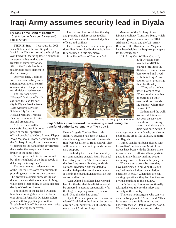# **Iraqi Army assumes security lead in Diyala**

**By Task Force Band of Brothers** 101st Airborne Division (Air Assault) Public Affairs

**TIKRIT, Iraq** — It was July 31, 2005 when Soldiers of the 2nd Brigade, 5th Iraqi Army Division hoisted the Iraqi flag over Forward Operating Base Khamees in

a ceremony that marked the transfer of authority for onefifth of the Diyala Province to a brigade-sized element in the Iraqi Army.

One year later, Coalition forces are successfully transitioning operational control of a majority of the province to a division-sized element.

The 5th Iraqi Army "Hadeed" Division officially assumed the lead for security in Diyala Provice from 101st Airborne Division Soldiers July 3 at the Kirkush Military Training Base, after months of training and preparation.

"This division will be successful because it is composed of the full spectrum

of Iraqi people," said Gen. Ahmed Klepos Awad Majhool al-Kozaee, commander of the 5th Iraqi Army, during the ceremony. "It represents the hand of the government that carries the weapon and the olive branch at the same time."

Ahmed promised his division would be "the strong hand of the Iraqi people in defeating the insurgency."

The ceremony was a demonstration of the Hadeed Division's commitment to providing security for its own country. The division's soldiers successfully conducted their validation operation in May, which tested their ability to work independently of Coalition forces.

The soldiers of the Hadeed Division have been proving themselves in battle ever since. In June, 5th Division soldiers joined with Iraqi police just south of Baqubah to fight off four separate terrorist attacks, forcing them retreat.

The division lost no soldiers that day and provided quick response medical care and evacuation for wounded police officers and civilians.

The division's successes in their operations directly resulted in the jurisdiction they assumed in this ceremony.

Task Force Band of Brother's 3rd

Members of the 5th Iraqi Army Division Military Transition Team, which is made up of elements from the 101st Airborne Division and the U.S. Army Reserve's 80th Division from Virginia, have been helping the Iraqi troops prepare for the changeover.

U.S. Army Col. William Gothard,



 "They take the lead now," Gothard said. "They conduct combat operations on their own, with us providing support where they request it."

Gothard said the walk toward validation has not been an easy one. In addition to training tasks, the division's soldiers have seen action in

Photo by U.S. Army by Spc. Lee Elder

**Iraqi Soldiers march toward the reviewing stand during the transfer of authority ceremony at Tikrit Juy 3.** 

> Heavy Brigade Combat Team, 4th Infantry Division has been in Diyala since January, assisting with the transition from Coalition to Iraqi control. They will remain in the area to provide necessary support.

British Maj. Gen. Peter Everson, deputy commanding general, Multi-National Corps-Iraq, said the 5th Division was the first Iraqi Army division, in Multi-National Division North validated to conduct independent combat operations. It is only the fourth division to attain that status in all of Iraq.

"Gen. Ahmed's soldiers have worked hard for the day that this division would be prepared to assume responsibility for this large, complex province," Everson said. "And that day has come."

Diyala Province spans from the eastern edge of Baghdad to the Iranian border and covers 70,000 square miles. It is home to more than 1.7 million Iraqis.

campaigns not only in Diyala, but also in neighboring areas like Fallujah, Samarra and Baghdad.

Ahmed said he has been pleased with his soldiers' performance. Most of the troops have been with the division since it was founded in 2004 and have participated in many history-making events, including three elections in the past year.

"They are very proud because they have participated in building this country," Ahmed said after the validation operation in May. "When they are conducting operations, they feel like they are giving something to this country."

Iraq's Security Forces are continually taking the lead role for the safety and security of the country.

"There are no insurgents who can win over the Iraqi people," Ahmed said. "This is the start of their failure in Iraq and hopefully they will fail all over the world. We will win the war against terrorism."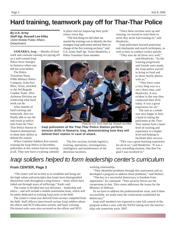## **Hard training, teamwork pay off for Thar-Thar Police**

**By U.S. Army Staff Sgt. Russell Lee Klika** 133rd Mobile Public Affairs **Detachment** 

**SAMARRA, Iraq** — Months of hard work and constant training are paying off

as a well trained Iraqi Police force emerges in Samarra where one did not exist before.

The Police Transition Team, 978th Military Police Company, from Fort Bliss, Texas, attached to the 3rd Brigade Combat Team, 101st Airborne Division are witnessing what hard work can do.

After months of hard training and teamwork, they are finally able to see the end result as policemen from the Thar-Thar Police Station in Samarra demonstrate to them their ability to defend the station.

When Coalition Soldiers first started training the Iraqi Police in December, policemen at this station had no training at all. They now have a training calendar in place and are improving their proficiency every day.

"The first thing we did when we started the training was to identify the five strongest Iraqi policemen and put them in charge of the five training sections," said U.S. Army Staff Sgt. Victor Hendricks, a Police Transition Team member.

"Once these sections were up and running, we started to train them in areas they never had training in," said Hendricks.

Iraqi policemen learned protection and checkpoint and search techniques, as well as how to conduct curfew patrols.

"They now do all three very well,"

said Hendricks. "As the training progressed, and friends were made, the Iraqi police started to bring us food and to share family photos with us."

"They have come a very long way in a very short time, said Hendricks. It was evident in the way they conducted their drill today. It was a great experience for all."

The unit as a whole was very happy to have a hand in taking the policemen at the Thar-Thar station from a basic level of training and experience to a higher level and helping to facilitate their success.

Photo by U.S. Army Staff Sgt. Russell Lee Klika

**Iraqi policemen of the Thar-Thar Police Station perform mission drills in Samarra, Iraq, demonstrating how they will defend their station in case of attack.** 

The five sections include logistics, training, operations, investigations, intelligence and maintenance of the detention facilities.

"This was a great learning experience for all of us," said Hendricks. "It was a very rewarding mission. One that I'm glad I was involved in."

## *Iraqi soldiers helped to form leadership center's curriculum*

#### **From CENTER, Page 3**

"The center will do its best to re-establish and bring out the high values and principles that Iraqis have distinguished themselves with throughout a long history – those which have faded-out through years of sufferings," Kadir said.

The center is divided into two divisions – leadership and ethics – and will include a mobile assessment team, which will be solely dedicated to training Iraqi units in the field.

The center's vision was derived from surveys compiled from the field. Staff officers interviewed various Iraqi soldiers about the officer and NCO education system, and basic training. Divisional units were also surveyed on the officer and NCO

working relationship.

"They identified problems through this assessment and we developed a program to address those problems," said Walters.

"The key to a successful democracy is freedom from oppression," he continued. "Your security forces are the cornerstone to that. This center addresses the issues for the Minister of Defense.

So we have to address the professionalism issue, and if done successfully, we really have the cornerstone established for democracy."

Iraqi staff members are expected to take full control of the program within a year with the NATO taking over the mentorship role sometime early 2007.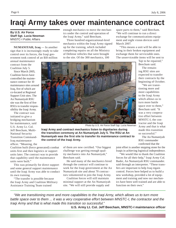## **Iraqi Army takes over maintenance contract**

#### **By U.S. Air Force Staff Sgt. Lucia Newman** MNSTC-I Public Affairs

**NUMANIYAH, Iraq** — In another sign that it is increasingly ready to take control over its forces, the Iraqi government took control of an \$18 million

annual maintenance contract from the Coalition July 5.

Since March 2005, Coalition forces have controlled the maintenance contract for 10 maintenance sites around Iraq, five of which are co-located at Regional Support Unit sites. The An Numaniyah RSU site was the first of five RSUs to transfer responsibility the Iraqi Army.

The contract was initiated to give a bridging mechanism for maintenance, said U.S. Army Lt. Col. Jeff Beecham, Multi-National Security Transition Command-Iraq maintenance officer. "Meaning, the

Coalition built (force generated) combat units first and then logistics or support units later. The contract was to provide that capability until the maintenance units were built."

This was primarily for direct support and some general support maintenance until the Iraqi Army was able to conduct its own training.

"The transfer is possible because the Iraqi Army and Coalition Mitlitary Assistance Training Team trained

enough mechanics to move the mechanics under the control and operation of the Iraqi Army," said Beecham.

Three hundred organizational-level mechanics within the Iraqi Army signed up for the training, which included completing repairs on all the Ministry of Defense vehicles that were brought to the site. Of the 300 mechanics, 100

spare parts to them," said Beecham. "We will continue to run a direct exchange for communications equipment and night vision devices until March 2007.

"This means a unit will be able to bring in their broken equipment and exchange them for serviceable ones. The unserviceable items will be sent to

> Taji to be repaired," Beecham said.

The remaining RSU sites are expected to transfer their contracts by the beginning of October.

"We are transitioning more and more capabilities to the Iraqi Army which allows us to turn more battle space over to them," Beecham said. "It was a very cooperative effort between MNSTC-I, the contractor and the Iraqi Army and that is what made this transition so successful."

The An Numaniyah RSU commander confirmed that the

joint effort is another stepping stone for the Iraqis in achieving logistical independence.

"We would like to thank the Coalition forces for all their help," Iraqi Army Col. Bader, An Numaniyah RSU commander. said through an interpreter. "These transfers are important to help Iraq regain control. Forces here helped us to build a new workshop, provided a lot of equipment and training and now our mechanics have been well trained and are able to function on their own."

*"We are transitioning more and more capabilities to the Iraqi Army, which allows us to turn more*  battle space over to them ... it was a very cooperative effort between MNSTC-I, the contractor and the *Iraqi Army and that is what made this transition so successful."*

of them are now certified. "Our biggest challenge was getting enough quality mechanics into An Numaniyah,"

**Iraqi Army and contract mechanics listen to dignitaries during the transition ceremony at An Numaniyah July 5. The RSU at An Numaniyah was the first site to transfer its maintenance contract to** 

> He said many of the mechanics hired through the contract will continue to work for the Iraqi government at the An Numaniyah site and about 70 contractors volunteered to join the Iraqi Army. Coalition forces will still maintain minimal support at the An Numaniyah site. "We will still provide supply and

Beecham said.

**the control of the Iraqi Army.** 

 **U.S. Army Lt. Col. Jeff Beecham, MNSTC-I maintenance offi cer**

Photo by U.S. Air Force Staff Sgt. Lucia Newman

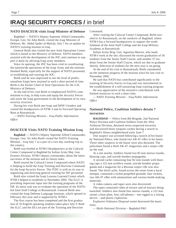### **IRAQI SECURITY FORCES /** in brief

#### **NATO DSACEUR visits Iraqi Minister of Defense**

Baghdad — NATO's Deputy Supreme Allied Commander, Europe, Gen. Sir John Reith, visited the Iraqi Minister of Defense, Mr. Abdul Qader al-Mufriji, July 7 for an update on NATO's training mission in Iraq.

General Reith also visited the new Joint Operations Center which is based in the Ministry of Defense. NATO members assisted with the development of the JOC and continue to support it daily by advising Iraqi army members.

Since its opening, the JOC has been vital in coordinating the nationwide operations of the Iraqi Army and the minister thanked Reith, especially for the support of NATO personnel, in establishing and running the JOC.

Reith said he was impressed to see the level of professionalism Iraqis have attained in such a short period of time. Reith is the former Chief of Joint Operations for the U.K. Ministry of Defence.

At the end of his visit Reith re-emphasized NATO's commitment to Iraq, to help train and equip the Security Forces and assist the Iraqi government in the development of its own security structure.

During his visit Reith met Iraqi and MNF-I leaders and visited the headquarters of NTM–I and its Forward Operating Base at Rustamiyah.

*— NATO Training Mission – Iraq Public Information Offi ce*

#### **DSACEUR Visits NATO Training Mission Iraq**

**Baghdad** — NATO's Deputy Supreme Allied Commander, Europe, Gen. Sir John Reith visited the NATO Training Mission – Iraq July 7 as a part of a two-day working trip to the country.

Reith was briefed at NTM-I Headquarters at the Cultural Center Compound in Baghdad by Italian Army Maj. Gen. Ernesto Alviano, NTM-I deputy commander, about the latest successes of the mission and its future tasks.

Reith toured the Cultural Centre Compound where NATO is helping to build the Iraqi Training and Doctrine Command for the Iraqi Security Forces. The ITDC is well on its way to organizing and directing general training for ISF personnel.

Reith also visited the Iraqi Lessons Learned Center which NTM-I helped to establishi in November 2005. The ILLC is providing important input into the training programs of the ISF. Its latest task was to evaluate the operation of the NATOled Joint Staff College in Rustamiyah. General Reith also visited the Iraqi Defense Language Institute, which opened in February this year and is supported by NTM-I.

The first course has been completed and the first graduation of 33 English-speaking students takes place July 9. Both the ILLC and the DLI are part of the Training and Doctrine

Command.

After visiting the Cultural Center Compound, Reith traveled to Ar Rustamiyah, on the outskirts of Baghdad, where NTM-I has a forward headquarters to support the establishment of the Joint Staff College and the Iraqi Military Academy at Rustamiyah.

Italian Army Brig. Gen. Agostino Mazzei, who leads NTM-I work at the site, discussed the recent graduation of 50 students from the Junior Staff Course, and another 37 students from the Senior Staff Course, which are due to graduate shortly. Selection of students for the next year is on-going.

At the end of his visit to Rustamiyah, Reith commented on the immense progress of the mission since his last visit in November 2005.

He said that NATO has contributed significantly to the training of Security Forces in Iraq and was instrumental in the establishment of a self-sustaining Iraqi training program.

He was appreciative of the mission's contribution with limited resources in such a short time.

*— NATO Training Mission – Iraq Public Information Offi ce*

#### **National Police, Coalition Soldiers detain 7 terrorists**

**BAGHDAD** — Police from 8th Brigade, 2nd National Police Division and Coalition Soldiers from the 101st Airborne Division, detained seven suspected terrorists and discovered three weapons caches during a search in Baghdad's Doura neighborhood early June 7.

One suspect was arrested following a search of his house by National Police, who found two AK-47 rifles in his home. Three other suspects in the house were also detained. The policemen found a third AK-47, magazines and a sniper rifle on the roof.

At a site nearby, Soldiers found two 82 mm mortar rounds, blasting caps, and suicide bomber propaganda.

A second cache containing four 82 mm rounds with blasting caps a 122 mm artillery round, suicide bomber propaganda and a magazine for a Russian sniper rifle was also found. The third cache, found across the street from a local mosque, contained a rocket-propelled grenade, four rockets, two AK-47 rifles with ammunition and various bomb-making materials.

A video camera and tapes were also discovered.

The tapes contained video of torture and of mortars being launched. Soldiers also found four mortar rounds, a 122 mm round, a base plate, four cell-phones – one rigged as a timing device – and plastic explosives.

Explosive Ordnance Disposal teams destroyed the munitions.

*— Multi-National Division – Baghdad PAO*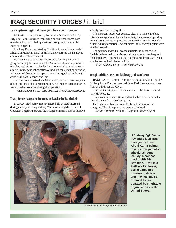### **IRAQI SECURITY FORCES /** in brief

#### **ISF capture regional insurgent force commander**

**BALAD** — Iraqi Security Forces conducted a raid early July 6 in Babil Province, capturing an insurgent force commander who controlled operations throughout the middle Euphrates region.

The Iraqi Forces, assisted by Coalition force advisers, raided a house in Mahawil, north of Hillah, and captured the insurgent commander without incident.

He is believed to have been responsible for weapons smuggling, including the movement of SA-7 surface-to-air anti-aircraft missiles, espionage activities for Iran, improvised explosive device attacks, murder and intimidation of Iraqi citizens, inciting sectarian violence, and financing the operations of his organization through contacts in both Lebanon and Iran.

Iraqi Forces also seized one Glock G-19 pistol and one magazine of nine millimeter hollow point rounds. No Iraqi or Coalition forces were killed or wounded during this operation.

*— Multi-National Forces – Iraq Combined Press Information Center*

#### **Iraqi forces capture insurgent leader in Baghdad**

**BALAD** – Iraqi Army forces captured a high-level insurgent during an early morning raid July 7 in eastern Baghdad as part of Operation Together Forward, the Iraqi government's plan to improve security conditions in Baghdad.

The insurgent leader was detained after a 43-minute firefight between insurgents and Iraqi soldiers. Iraqi forces were responding to small arms and rocket-propelled grenade fire from the roof of a building during operations. An estimated 30-40 enemy fighters were killed or wounded.

The captured individual headed multiple insurgent cells in Baghdad whose main focus is to conduct attacks against Iraqi and Coalition forces. These attacks include the use of improvised explosive devices, and vehicle-borne IEDs.

*— Multi-National Corps – Iraq Public Affairs*

#### **Iraqi soldiers rescue kidnapped workers**

**BAGHDAD** — Troops from the 1st Battalion, 2nd Brigade, 6th Iraq Army Division rescued three Red Crescent employees from two kidnappers July 3.

The soldiers stopped a black sedan at a checkpoint near the Al-Nida Mosque.

The two kidnappers attempted to flee but were detained a short distance from the checkpoint.

During a search of the vehicle, the soldiers found two handguns. The kidnap victims were not injured.

*— Multi-National Division – Baghdad Public Affairs*



**U.S. Army Sgt. Jason Foy and a local Iraqi man gently lower Abdul Karim Salman into his new pediatric wheelchair June 29. Foy, a combat medic with 4th Battalion, 11th Field Artillery Regiment, participated in a mission to deliver and fi t wheelchairs for local Iraqis, donated by charitable organizations in the United States.**

Photo by U.S. Army Sgt. Rachel A. Brune